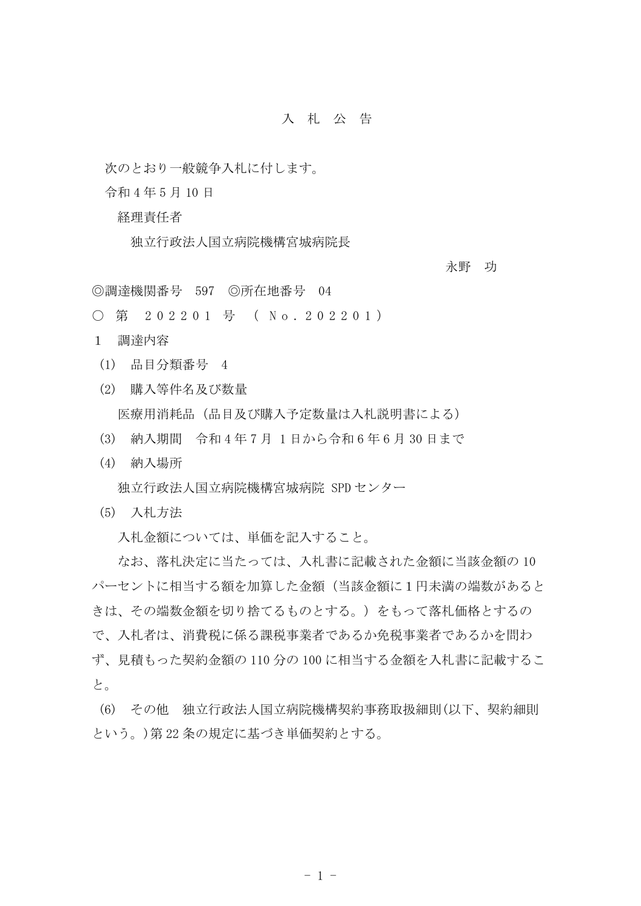## 入 札 公 告

次のとおり一般競争入札に付します。

令和 4 年 5 月 10 日

経理責任者

独立行政法人国立病院機構宮城病院長

永野 功

◎調達機関番号 597 ◎所在地番号 04

○ 第 202201 号 ( No. 202201)

1 調達内容

- (1) 品目分類番号 4
- (2) 購入等件名及び数量

医療用消耗品(品目及び購入予定数量は入札説明書による)

- (3) 納入期間 令和 4 年 7 月 1 日から令和 6 年 6 月 30 日まで
- (4) 納入場所

独立行政法人国立病院機構宮城病院 SPD センター

(5) 入札方法

入札金額については、単価を記入すること。

 なお、落札決定に当たっては、入札書に記載された金額に当該金額の 10 パーセントに相当する額を加算した金額(当該金額に1円未満の端数があると きは、その端数金額を切り捨てるものとする。)をもって落札価格とするの で、入札者は、消費税に係る課税事業者であるか免税事業者であるかを問わ ず、見積もった契約金額の 110 分の 100 に相当する金額を入札書に記載するこ と。

(6) その他 独立行政法人国立病院機構契約事務取扱細則(以下、契約細則 という。)第 22 条の規定に基づき単価契約とする。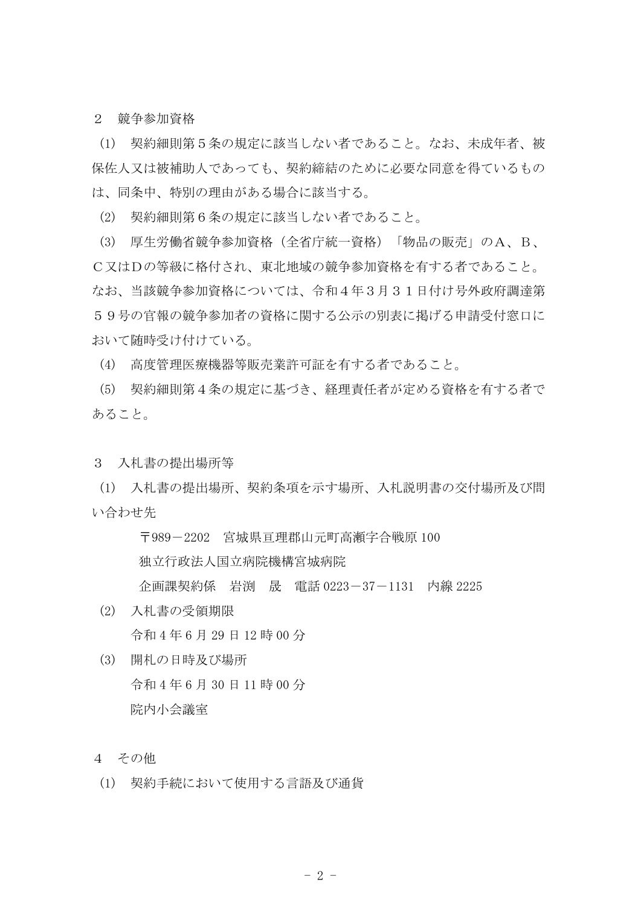2 競争参加資格

(1) 契約細則第5条の規定に該当しない者であること。なお、未成年者、被 保佐人又は被補助人であっても、契約締結のために必要な同意を得ているもの は、同条中、特別の理由がある場合に該当する。

(2) 契約細則第6条の規定に該当しない者であること。

(3) 厚生労働省競争参加資格(全省庁統一資格)「物品の販売」のA、B、 C又はDの等級に格付され、東北地域の競争参加資格を有する者であること。 なお、当該競争参加資格については、令和4年3月31日付け号外政府調達第 59号の官報の競争参加者の資格に関する公示の別表に掲げる申請受付窓口に おいて随時受け付けている。

(4) 高度管理医療機器等販売業許可証を有する者であること。

(5) 契約細則第4条の規定に基づき、経理責任者が定める資格を有する者で あること。

3 入札書の提出場所等

(1) 入札書の提出場所、契約条項を示す場所、入札説明書の交付場所及び問 い合わせ先

> 〒989-2202 宮城県亘理郡山元町高瀬字合戦原 100 独立行政法人国立病院機構宮城病院

企画課契約係 岩渕 晟 電話 0223-37-1131 内線 2225

- (2) 入札書の受領期限 令和 4 年 6 月 29 日 12 時 00 分
- (3) 開札の日時及び場所 令和 4 年 6 月 30 日 11 時 00 分 院内小会議室
- 4 その他
- (1) 契約手続において使用する言語及び通貨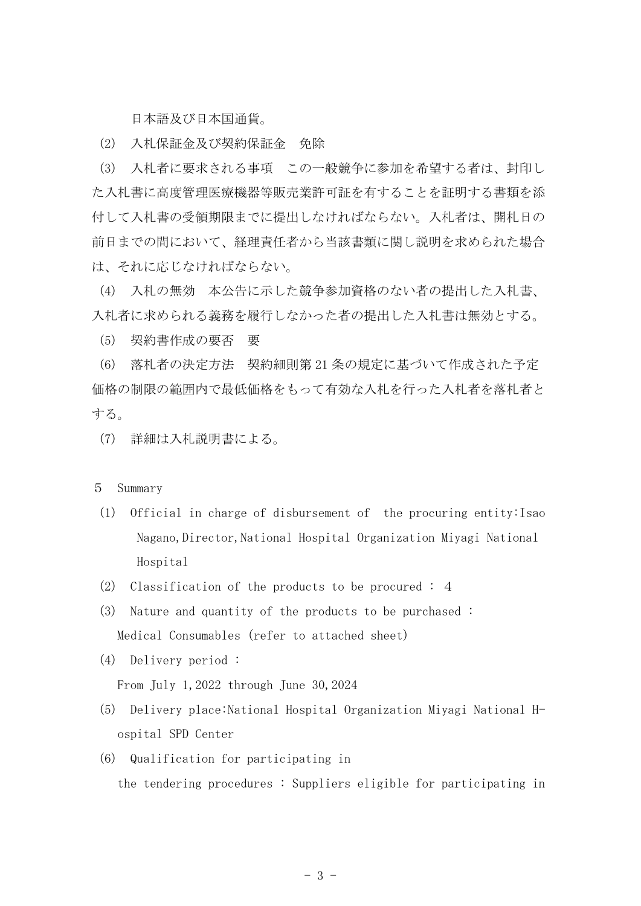日本語及び日本国通貨。

(2) 入札保証金及び契約保証金 免除

(3) 入札者に要求される事項 この一般競争に参加を希望する者は、封印し た入札書に高度管理医療機器等販売業許可証を有することを証明する書類を添 付して入札書の受領期限までに提出しなければならない。入札者は、開札日の 前日までの間において、経理責任者から当該書類に関し説明を求められた場合 は、それに応じなければならない。

(4) 入札の無効 本公告に示した競争参加資格のない者の提出した入札書、 入札者に求められる義務を履行しなかった者の提出した入札書は無効とする。

(5) 契約書作成の要否 要

(6) 落札者の決定方法 契約細則第 21 条の規定に基づいて作成された予定 価格の制限の範囲内で最低価格をもって有効な入札を行った入札者を落札者と する。

(7) 詳細は入札説明書による。

## 5 Summary

- (1) Official in charge of disbursement of the procuring entity:Isao Nagano, Director, National Hospital Organization Miyagi National Hospital
- (2) Classification of the products to be procured : 4
- (3) Nature and quantity of the products to be purchased : Medical Consumables (refer to attached sheet)
- (4) Delivery period :

From July 1,2022 through June 30,2024

- (5) Delivery place:National Hospital Organization Miyagi National Hospital SPD Center
- (6) Qualification for participating in the tendering procedures : Suppliers eligible for participating in